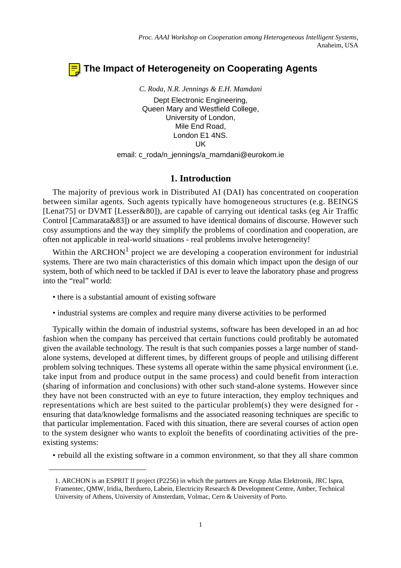# **The Impact of Heterogeneity on Cooperating Agents**

*C. Roda, N.R. Jennings & E.H. Mamdani* Dept Electronic Engineering, Queen Mary and Westfield College, University of London, Mile End Road, London E1 4NS. UK

email: c\_roda/n\_jennings/a\_mamdani@eurokom.ie

# **1. Introduction**

The majority of previous work in Distributed AI (DAI) has concentrated on cooperation between similar agents. Such agents typically have homogeneous structures (e.g. BEINGS [Lenat75] or DVMT [Lesser&80]), are capable of carrying out identical tasks (eg Air Traffic Control [Cammarata&83]) or are assumed to have identical domains of discourse. However such cosy assumptions and the way they simplify the problems of coordination and cooperation, are often not applicable in real-world situations - real problems involve heterogeneity!

Within the ARCHON<sup>1</sup> project we are developing a cooperation environment for industrial systems. There are two main characteristics of this domain which impact upon the design of our system, both of which need to be tackled if DAI is ever to leave the laboratory phase and progress into the "real" world:

- there is a substantial amount of existing software
- industrial systems are complex and require many diverse activities to be performed

Typically within the domain of industrial systems, software has been developed in an ad hoc fashion when the company has perceived that certain functions could profitably be automated given the available technology. The result is that such companies posses a large number of standalone systems, developed at different times, by different groups of people and utilising different problem solving techniques. These systems all operate within the same physical environment (i.e. take input from and produce output in the same process) and could benefit from interaction (sharing of information and conclusions) with other such stand-alone systems. However since they have not been constructed with an eye to future interaction, they employ techniques and representations which are best suited to the particular problem(s) they were designed for ensuring that data/knowledge formalisms and the associated reasoning techniques are specific to that particular implementation. Faced with this situation, there are several courses of action open to the system designer who wants to exploit the benefits of coordinating activities of the preexisting systems:

• rebuild all the existing software in a common environment, so that they all share common

<sup>1.</sup> ARCHON is an ESPRIT II project (P2256) in which the partners are Krupp Atlas Elektronik, JRC Ispra, Framentec, QMW, Iridia, Iberduero, Labein, Electricity Research & Development Centre, Amber, Technical University of Athens, University of Amsterdam, Volmac, Cern & University of Porto.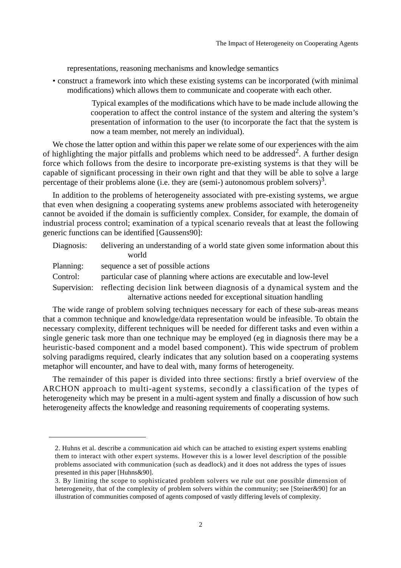representations, reasoning mechanisms and knowledge semantics

• construct a framework into which these existing systems can be incorporated (with minimal modifications) which allows them to communicate and cooperate with each other.

> Typical examples of the modifications which have to be made include allowing the cooperation to affect the control instance of the system and altering the system's presentation of information to the user (to incorporate the fact that the system is now a team member, not merely an individual).

We chose the latter option and within this paper we relate some of our experiences with the aim of highlighting the major pitfalls and problems which need to be addressed<sup>2</sup>. A further design force which follows from the desire to incorporate pre-existing systems is that they will be capable of significant processing in their own right and that they will be able to solve a large percentage of their problems alone (i.e. they are (semi-) autonomous problem solvers)<sup>3</sup>.

In addition to the problems of heterogeneity associated with pre-existing systems, we argue that even when designing a cooperating systems anew problems associated with heterogeneity cannot be avoided if the domain is sufficiently complex. Consider, for example, the domain of industrial process control; examination of a typical scenario reveals that at least the following generic functions can be identified [Gaussens90]:

| Diagnosis: | delivering an understanding of a world state given some information about this       |  |
|------------|--------------------------------------------------------------------------------------|--|
|            | world                                                                                |  |
| Planning:  | sequence a set of possible actions                                                   |  |
| Control:   | particular case of planning where actions are executable and low-level               |  |
|            | Cynomician, reflecting decision link between discussic of a dynamical system and the |  |

Supervision: reflecting decision link between diagnosis of a dynamical system and the alternative actions needed for exceptional situation handling

The wide range of problem solving techniques necessary for each of these sub-areas means that a common technique and knowledge/data representation would be infeasible. To obtain the necessary complexity, different techniques will be needed for different tasks and even within a single generic task more than one technique may be employed (eg in diagnosis there may be a heuristic-based component and a model based component). This wide spectrum of problem solving paradigms required, clearly indicates that any solution based on a cooperating systems metaphor will encounter, and have to deal with, many forms of heterogeneity.

The remainder of this paper is divided into three sections: firstly a brief overview of the ARCHON approach to multi-agent systems, secondly a classification of the types of heterogeneity which may be present in a multi-agent system and finally a discussion of how such heterogeneity affects the knowledge and reasoning requirements of cooperating systems.

<sup>2.</sup> Huhns et al. describe a communication aid which can be attached to existing expert systems enabling them to interact with other expert systems. However this is a lower level description of the possible problems associated with communication (such as deadlock) and it does not address the types of issues presented in this paper [Huhns&90].

<sup>3.</sup> By limiting the scope to sophisticated problem solvers we rule out one possible dimension of heterogeneity, that of the complexity of problem solvers within the community; see [Steiner&90] for an illustration of communities composed of agents composed of vastly differing levels of complexity.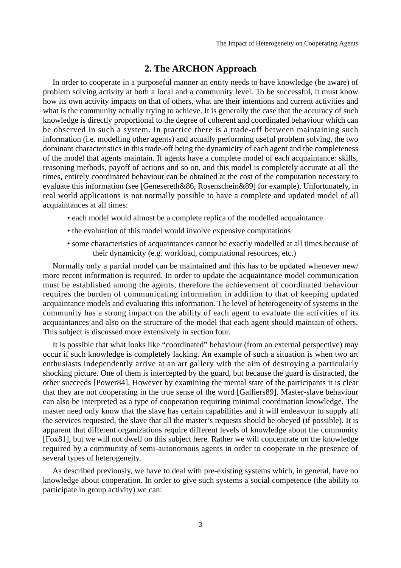#### **2. The ARCHON Approach**

In order to cooperate in a purposeful manner an entity needs to have knowledge (be aware) of problem solving activity at both a local and a community level. To be successful, it must know how its own activity impacts on that of others, what are their intentions and current activities and what is the community actually trying to achieve. It is generally the case that the accuracy of such knowledge is directly proportional to the degree of coherent and coordinated behaviour which can be observed in such a system. In practice there is a trade-off between maintaining such information (i.e. modelling other agents) and actually performing useful problem solving, the two dominant characteristics in this trade-off being the dynamicity of each agent and the completeness of the model that agents maintain. If agents have a complete model of each acquaintance: skills, reasoning methods, payoff of actions and so on, and this model is completely accurate at all the times, entirely coordinated behaviour can be obtained at the cost of the computation necessary to evaluate this information (see [Genesereth&86, Rosenschein&89] for example). Unfortunately, in real world applications is not normally possible to have a complete and updated model of all acquaintances at all times:

- each model would almost be a complete replica of the modelled acquaintance
- the evaluation of this model would involve expensive computations
- some characteristics of acquaintances cannot be exactly modelled at all times because of their dynamicity (e.g. workload, computational resources, etc.)

Normally only a partial model can be maintained and this has to be updated whenever new/ more recent information is required. In order to update the acquaintance model communication must be established among the agents, therefore the achievement of coordinated behaviour requires the burden of communicating information in addition to that of keeping updated acquaintance models and evaluating this information. The level of heterogeneity of systems in the community has a strong impact on the ability of each agent to evaluate the activities of its acquaintances and also on the structure of the model that each agent should maintain of others. This subject is discussed more extensively in section four.

It is possible that what looks like "coordinated" behaviour (from an external perspective) may occur if such knowledge is completely lacking. An example of such a situation is when two art enthusiasts independently arrive at an art gallery with the aim of destroying a particularly shocking picture. One of them is intercepted by the guard, but because the guard is distracted, the other succeeds [Power84]. However by examining the mental state of the participants it is clear that they are not cooperating in the true sense of the word [Galliers89]. Master-slave behaviour can also be interpreted as a type of cooperation requiring minimal coordination knowledge. The master need only know that the slave has certain capabilities and it will endeavour to supply all the services requested, the slave that all the master's requests should be obeyed (if possible). It is apparent that different organizations require different levels of knowledge about the community [Fox81], but we will not dwell on this subject here. Rather we will concentrate on the knowledge required by a community of semi-autonomous agents in order to cooperate in the presence of several types of heterogeneity.

As described previously, we have to deal with pre-existing systems which, in general, have no knowledge about cooperation. In order to give such systems a social competence (the ability to participate in group activity) we can: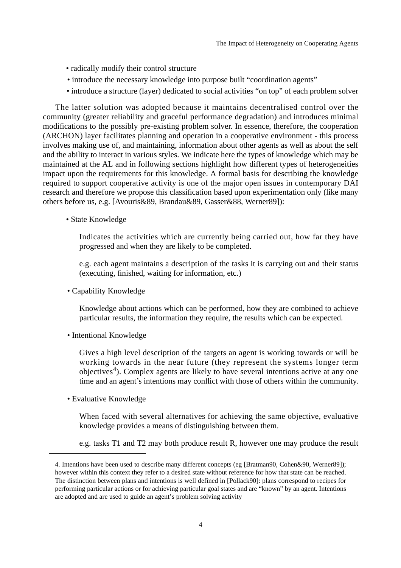- radically modify their control structure
- introduce the necessary knowledge into purpose built "coordination agents"
- introduce a structure (layer) dedicated to social activities "on top" of each problem solver

The latter solution was adopted because it maintains decentralised control over the community (greater reliability and graceful performance degradation) and introduces minimal modifications to the possibly pre-existing problem solver. In essence, therefore, the cooperation (ARCHON) layer facilitates planning and operation in a cooperative environment - this process involves making use of, and maintaining, information about other agents as well as about the self and the ability to interact in various styles. We indicate here the types of knowledge which may be maintained at the AL and in following sections highlight how different types of heterogeneities impact upon the requirements for this knowledge. A formal basis for describing the knowledge required to support cooperative activity is one of the major open issues in contemporary DAI research and therefore we propose this classification based upon experimentation only (like many others before us, e.g. [Avouris&89, Brandau&89, Gasser&88, Werner89]):

• State Knowledge

Indicates the activities which are currently being carried out, how far they have progressed and when they are likely to be completed.

e.g. each agent maintains a description of the tasks it is carrying out and their status (executing, finished, waiting for information, etc.)

• Capability Knowledge

Knowledge about actions which can be performed, how they are combined to achieve particular results, the information they require, the results which can be expected.

• Intentional Knowledge

Gives a high level description of the targets an agent is working towards or will be working towards in the near future (they represent the systems longer term objectives<sup>4</sup>). Complex agents are likely to have several intentions active at any one time and an agent's intentions may conflict with those of others within the community.

• Evaluative Knowledge

When faced with several alternatives for achieving the same objective, evaluative knowledge provides a means of distinguishing between them.

e.g. tasks T1 and T2 may both produce result R, however one may produce the result

<sup>4.</sup> Intentions have been used to describe many different concepts (eg [Bratman90, Cohen&90, Werner89]); however within this context they refer to a desired state without reference for how that state can be reached. The distinction between plans and intentions is well defined in [Pollack90]: plans correspond to recipes for performing particular actions or for achieving particular goal states and are "known" by an agent. Intentions are adopted and are used to guide an agent's problem solving activity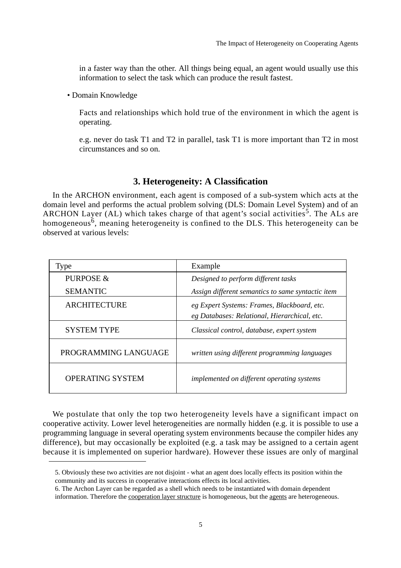in a faster way than the other. All things being equal, an agent would usually use this information to select the task which can produce the result fastest.

• Domain Knowledge

Facts and relationships which hold true of the environment in which the agent is operating.

e.g. never do task T1 and T2 in parallel, task T1 is more important than T2 in most circumstances and so on.

## **3. Heterogeneity: A Classification**

In the ARCHON environment, each agent is composed of a sub-system which acts at the domain level and performs the actual problem solving (DLS: Domain Level System) and of an ARCHON Layer (AL) which takes charge of that agent's social activities<sup>5</sup>. The ALs are homogeneous<sup> $6$ </sup>, meaning heterogeneity is confined to the DLS. This heterogeneity can be observed at various levels:

| Type                    | Example                                           |
|-------------------------|---------------------------------------------------|
| PURPOSE &               | Designed to perform different tasks               |
| <b>SEMANTIC</b>         | Assign different semantics to same syntactic item |
| <b>ARCHITECTURE</b>     | eg Expert Systems: Frames, Blackboard, etc.       |
|                         | eg Databases: Relational, Hierarchical, etc.      |
| <b>SYSTEM TYPE</b>      | Classical control, database, expert system        |
| PROGRAMMING LANGUAGE    | written using different programming languages     |
| <b>OPERATING SYSTEM</b> | <i>implemented on different operating systems</i> |

We postulate that only the top two heterogeneity levels have a significant impact on cooperative activity. Lower level heterogeneities are normally hidden (e.g. it is possible to use a programming language in several operating system environments because the compiler hides any difference), but may occasionally be exploited (e.g. a task may be assigned to a certain agent because it is implemented on superior hardware). However these issues are only of marginal

<sup>5.</sup> Obviously these two activities are not disjoint - what an agent does locally effects its position within the community and its success in cooperative interactions effects its local activities.

<sup>6.</sup> The Archon Layer can be regarded as a shell which needs to be instantiated with domain dependent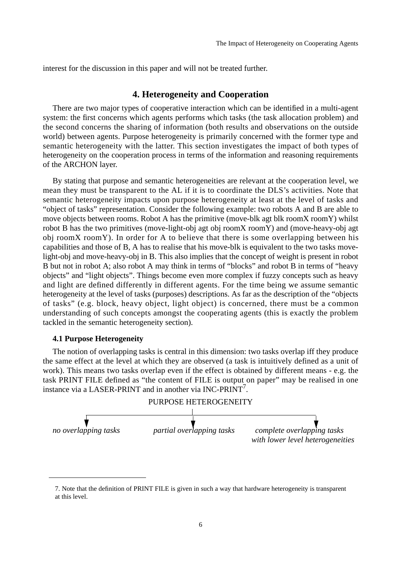interest for the discussion in this paper and will not be treated further.

#### **4. Heterogeneity and Cooperation**

There are two major types of cooperative interaction which can be identified in a multi-agent system: the first concerns which agents performs which tasks (the task allocation problem) and the second concerns the sharing of information (both results and observations on the outside world) between agents. Purpose heterogeneity is primarily concerned with the former type and semantic heterogeneity with the latter. This section investigates the impact of both types of heterogeneity on the cooperation process in terms of the information and reasoning requirements of the ARCHON layer.

By stating that purpose and semantic heterogeneities are relevant at the cooperation level, we mean they must be transparent to the AL if it is to coordinate the DLS's activities. Note that semantic heterogeneity impacts upon purpose heterogeneity at least at the level of tasks and "object of tasks" representation. Consider the following example: two robots A and B are able to move objects between rooms. Robot A has the primitive (move-blk agt blk roomX roomY) whilst robot B has the two primitives (move-light-obj agt obj roomX roomY) and (move-heavy-obj agt obj roomX roomY). In order for A to believe that there is some overlapping between his capabilities and those of B, A has to realise that his move-blk is equivalent to the two tasks movelight-obj and move-heavy-obj in B. This also implies that the concept of weight is present in robot B but not in robot A; also robot A may think in terms of "blocks" and robot B in terms of "heavy objects" and "light objects". Things become even more complex if fuzzy concepts such as heavy and light are defined differently in different agents. For the time being we assume semantic heterogeneity at the level of tasks (purposes) descriptions. As far as the description of the "objects of tasks" (e.g. block, heavy object, light object) is concerned, there must be a common understanding of such concepts amongst the cooperating agents (this is exactly the problem tackled in the semantic heterogeneity section).

#### **4.1 Purpose Heterogeneity**

The notion of overlapping tasks is central in this dimension: two tasks overlap iff they produce the same effect at the level at which they are observed (a task is intuitively defined as a unit of work). This means two tasks overlap even if the effect is obtained by different means - e.g. the task PRINT FILE defined as "the content of FILE is output on paper" may be realised in one instance via a LASER-PRINT and in another via INC-PRINT<sup>7</sup>.



<sup>7.</sup> Note that the definition of PRINT FILE is given in such a way that hardware heterogeneity is transparent at this level.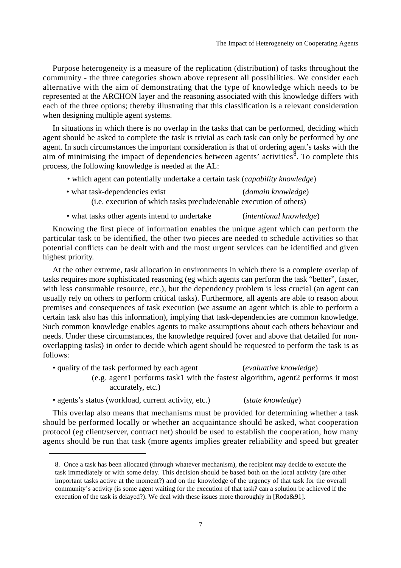Purpose heterogeneity is a measure of the replication (distribution) of tasks throughout the community - the three categories shown above represent all possibilities. We consider each alternative with the aim of demonstrating that the type of knowledge which needs to be represented at the ARCHON layer and the reasoning associated with this knowledge differs with each of the three options; thereby illustrating that this classification is a relevant consideration when designing multiple agent systems.

In situations in which there is no overlap in the tasks that can be performed, deciding which agent should be asked to complete the task is trivial as each task can only be performed by one agent. In such circumstances the important consideration is that of ordering agent's tasks with the aim of minimising the impact of dependencies between agents' activities<sup>8</sup>. To complete this process, the following knowledge is needed at the AL:

- which agent can potentially undertake a certain task (*capability knowledge*)
- what task-dependencies exist (*domain knowledge*) (i.e. execution of which tasks preclude/enable execution of others)
- what tasks other agents intend to undertake (*intentional knowledge*)

Knowing the first piece of information enables the unique agent which can perform the particular task to be identified, the other two pieces are needed to schedule activities so that potential conflicts can be dealt with and the most urgent services can be identified and given highest priority.

At the other extreme, task allocation in environments in which there is a complete overlap of tasks requires more sophisticated reasoning (eg which agents can perform the task "better", faster, with less consumable resource, etc.), but the dependency problem is less crucial (an agent can usually rely on others to perform critical tasks). Furthermore, all agents are able to reason about premises and consequences of task execution (we assume an agent which is able to perform a certain task also has this information), implying that task-dependencies are common knowledge. Such common knowledge enables agents to make assumptions about each others behaviour and needs. Under these circumstances, the knowledge required (over and above that detailed for nonoverlapping tasks) in order to decide which agent should be requested to perform the task is as follows:

• quality of the task performed by each agent (*evaluative knowledge*)

(e.g. agent1 performs task1 with the fastest algorithm, agent2 performs it most accurately, etc.)

• agents's status (workload, current activity, etc.) (*state knowledge*)

This overlap also means that mechanisms must be provided for determining whether a task should be performed locally or whether an acquaintance should be asked, what cooperation protocol (eg client/server, contract net) should be used to establish the cooperation, how many agents should be run that task (more agents implies greater reliability and speed but greater

<sup>8.</sup> Once a task has been allocated (through whatever mechanism), the recipient may decide to execute the task immediately or with some delay. This decision should be based both on the local activity (are other important tasks active at the moment?) and on the knowledge of the urgency of that task for the overall community's activity (is some agent waiting for the execution of that task? can a solution be achieved if the execution of the task is delayed?). We deal with these issues more thoroughly in [Roda&91].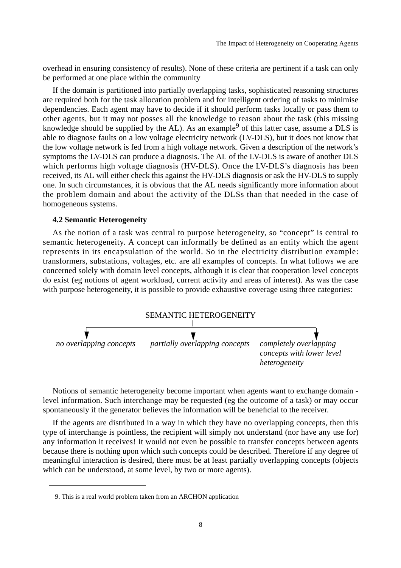overhead in ensuring consistency of results). None of these criteria are pertinent if a task can only be performed at one place within the community

If the domain is partitioned into partially overlapping tasks, sophisticated reasoning structures are required both for the task allocation problem and for intelligent ordering of tasks to minimise dependencies. Each agent may have to decide if it should perform tasks locally or pass them to other agents, but it may not posses all the knowledge to reason about the task (this missing knowledge should be supplied by the AL). As an example<sup>9</sup> of this latter case, assume a DLS is able to diagnose faults on a low voltage electricity network (LV-DLS), but it does not know that the low voltage network is fed from a high voltage network. Given a description of the network's symptoms the LV-DLS can produce a diagnosis. The AL of the LV-DLS is aware of another DLS which performs high voltage diagnosis (HV-DLS). Once the LV-DLS's diagnosis has been received, its AL will either check this against the HV-DLS diagnosis or ask the HV-DLS to supply one. In such circumstances, it is obvious that the AL needs significantly more information about the problem domain and about the activity of the DLSs than that needed in the case of homogeneous systems.

#### **4.2 Semantic Heterogeneity**

As the notion of a task was central to purpose heterogeneity, so "concept" is central to semantic heterogeneity. A concept can informally be defined as an entity which the agent represents in its encapsulation of the world. So in the electricity distribution example: transformers, substations, voltages, etc. are all examples of concepts. In what follows we are concerned solely with domain level concepts, although it is clear that cooperation level concepts do exist (eg notions of agent workload, current activity and areas of interest). As was the case with purpose heterogeneity, it is possible to provide exhaustive coverage using three categories:



Notions of semantic heterogeneity become important when agents want to exchange domain level information. Such interchange may be requested (eg the outcome of a task) or may occur spontaneously if the generator believes the information will be beneficial to the receiver.

If the agents are distributed in a way in which they have no overlapping concepts, then this type of interchange is pointless, the recipient will simply not understand (nor have any use for) any information it receives! It would not even be possible to transfer concepts between agents because there is nothing upon which such concepts could be described. Therefore if any degree of meaningful interaction is desired, there must be at least partially overlapping concepts (objects which can be understood, at some level, by two or more agents).

<sup>9.</sup> This is a real world problem taken from an ARCHON application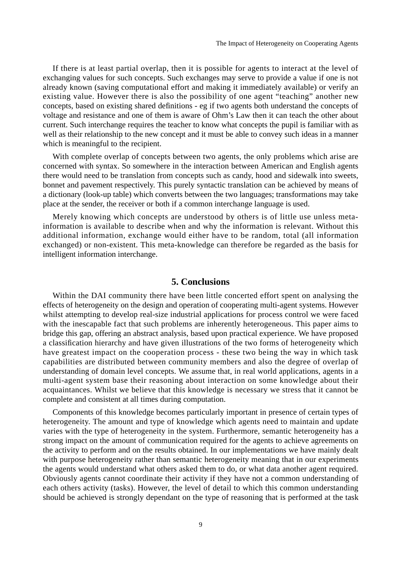If there is at least partial overlap, then it is possible for agents to interact at the level of exchanging values for such concepts. Such exchanges may serve to provide a value if one is not already known (saving computational effort and making it immediately available) or verify an existing value. However there is also the possibility of one agent "teaching" another new concepts, based on existing shared definitions - eg if two agents both understand the concepts of voltage and resistance and one of them is aware of Ohm's Law then it can teach the other about current. Such interchange requires the teacher to know what concepts the pupil is familiar with as well as their relationship to the new concept and it must be able to convey such ideas in a manner which is meaningful to the recipient.

With complete overlap of concepts between two agents, the only problems which arise are concerned with syntax. So somewhere in the interaction between American and English agents there would need to be translation from concepts such as candy, hood and sidewalk into sweets, bonnet and pavement respectively. This purely syntactic translation can be achieved by means of a dictionary (look-up table) which converts between the two languages; transformations may take place at the sender, the receiver or both if a common interchange language is used.

Merely knowing which concepts are understood by others is of little use unless metainformation is available to describe when and why the information is relevant. Without this additional information, exchange would either have to be random, total (all information exchanged) or non-existent. This meta-knowledge can therefore be regarded as the basis for intelligent information interchange.

### **5. Conclusions**

Within the DAI community there have been little concerted effort spent on analysing the effects of heterogeneity on the design and operation of cooperating multi-agent systems. However whilst attempting to develop real-size industrial applications for process control we were faced with the inescapable fact that such problems are inherently heterogeneous. This paper aims to bridge this gap, offering an abstract analysis, based upon practical experience. We have proposed a classification hierarchy and have given illustrations of the two forms of heterogeneity which have greatest impact on the cooperation process - these two being the way in which task capabilities are distributed between community members and also the degree of overlap of understanding of domain level concepts. We assume that, in real world applications, agents in a multi-agent system base their reasoning about interaction on some knowledge about their acquaintances. Whilst we believe that this knowledge is necessary we stress that it cannot be complete and consistent at all times during computation.

Components of this knowledge becomes particularly important in presence of certain types of heterogeneity. The amount and type of knowledge which agents need to maintain and update varies with the type of heterogeneity in the system. Furthermore, semantic heterogeneity has a strong impact on the amount of communication required for the agents to achieve agreements on the activity to perform and on the results obtained. In our implementations we have mainly dealt with purpose heterogeneity rather than semantic heterogeneity meaning that in our experiments the agents would understand what others asked them to do, or what data another agent required. Obviously agents cannot coordinate their activity if they have not a common understanding of each others activity (tasks). However, the level of detail to which this common understanding should be achieved is strongly dependant on the type of reasoning that is performed at the task